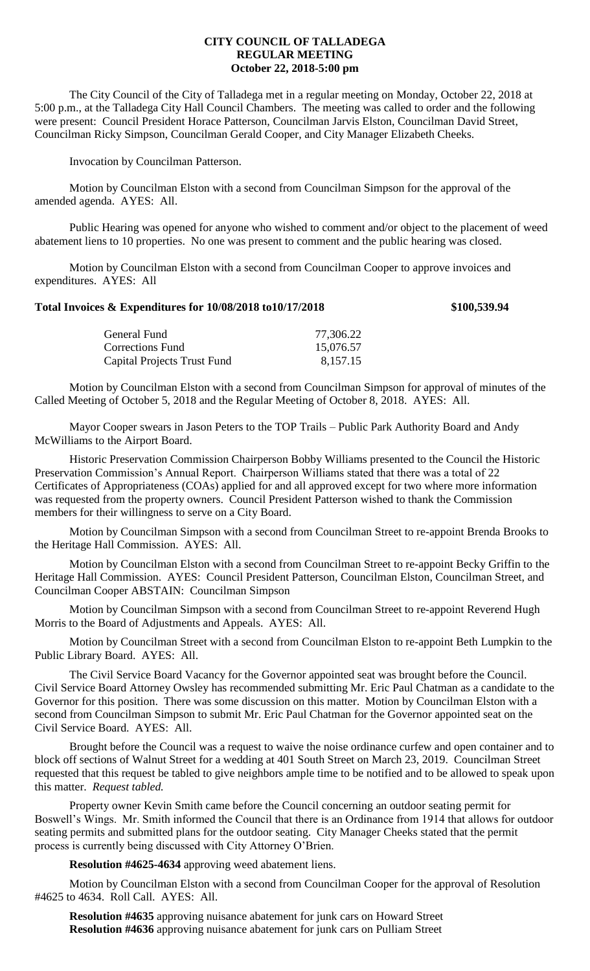## **CITY COUNCIL OF TALLADEGA REGULAR MEETING October 22, 2018-5:00 pm**

The City Council of the City of Talladega met in a regular meeting on Monday, October 22, 2018 at 5:00 p.m., at the Talladega City Hall Council Chambers. The meeting was called to order and the following were present: Council President Horace Patterson, Councilman Jarvis Elston, Councilman David Street, Councilman Ricky Simpson, Councilman Gerald Cooper, and City Manager Elizabeth Cheeks.

Invocation by Councilman Patterson.

Motion by Councilman Elston with a second from Councilman Simpson for the approval of the amended agenda. AYES: All.

Public Hearing was opened for anyone who wished to comment and/or object to the placement of weed abatement liens to 10 properties. No one was present to comment and the public hearing was closed.

Motion by Councilman Elston with a second from Councilman Cooper to approve invoices and expenditures. AYES: All

## **Total Invoices & Expenditures for 10/08/2018 to10/17/2018 \$100,539.94**

| General Fund                       | 77,306.22 |
|------------------------------------|-----------|
| Corrections Fund                   | 15,076.57 |
| <b>Capital Projects Trust Fund</b> | 8,157.15  |

Motion by Councilman Elston with a second from Councilman Simpson for approval of minutes of the Called Meeting of October 5, 2018 and the Regular Meeting of October 8, 2018. AYES: All.

Mayor Cooper swears in Jason Peters to the TOP Trails – Public Park Authority Board and Andy McWilliams to the Airport Board.

Historic Preservation Commission Chairperson Bobby Williams presented to the Council the Historic Preservation Commission's Annual Report. Chairperson Williams stated that there was a total of 22 Certificates of Appropriateness (COAs) applied for and all approved except for two where more information was requested from the property owners. Council President Patterson wished to thank the Commission members for their willingness to serve on a City Board.

Motion by Councilman Simpson with a second from Councilman Street to re-appoint Brenda Brooks to the Heritage Hall Commission. AYES: All.

Motion by Councilman Elston with a second from Councilman Street to re-appoint Becky Griffin to the Heritage Hall Commission. AYES: Council President Patterson, Councilman Elston, Councilman Street, and Councilman Cooper ABSTAIN: Councilman Simpson

Motion by Councilman Simpson with a second from Councilman Street to re-appoint Reverend Hugh Morris to the Board of Adjustments and Appeals. AYES: All.

Motion by Councilman Street with a second from Councilman Elston to re-appoint Beth Lumpkin to the Public Library Board. AYES: All.

The Civil Service Board Vacancy for the Governor appointed seat was brought before the Council. Civil Service Board Attorney Owsley has recommended submitting Mr. Eric Paul Chatman as a candidate to the Governor for this position. There was some discussion on this matter. Motion by Councilman Elston with a second from Councilman Simpson to submit Mr. Eric Paul Chatman for the Governor appointed seat on the Civil Service Board. AYES: All.

Brought before the Council was a request to waive the noise ordinance curfew and open container and to block off sections of Walnut Street for a wedding at 401 South Street on March 23, 2019. Councilman Street requested that this request be tabled to give neighbors ample time to be notified and to be allowed to speak upon this matter. *Request tabled.*

Property owner Kevin Smith came before the Council concerning an outdoor seating permit for Boswell's Wings. Mr. Smith informed the Council that there is an Ordinance from 1914 that allows for outdoor seating permits and submitted plans for the outdoor seating. City Manager Cheeks stated that the permit process is currently being discussed with City Attorney O'Brien.

**Resolution #4625-4634** approving weed abatement liens.

Motion by Councilman Elston with a second from Councilman Cooper for the approval of Resolution #4625 to 4634. Roll Call. AYES: All.

**Resolution #4635** approving nuisance abatement for junk cars on Howard Street **Resolution #4636** approving nuisance abatement for junk cars on Pulliam Street